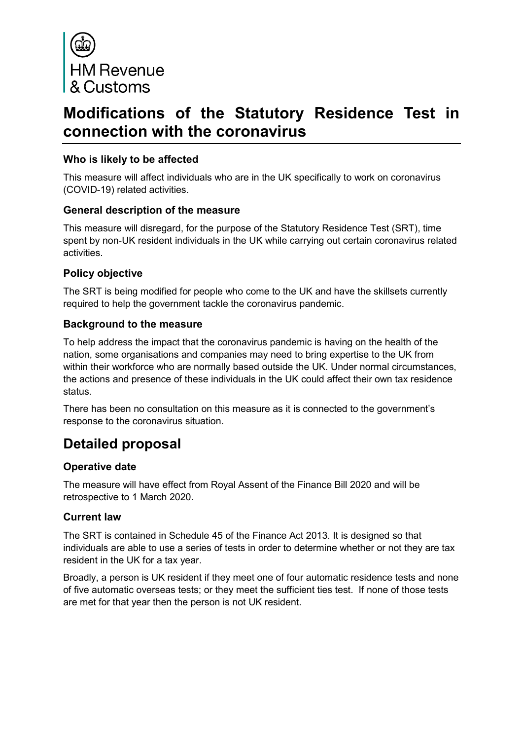

# **Modifications of the Statutory Residence Test in connection with the coronavirus**

#### **Who is likely to be affected**

This measure will affect individuals who are in the UK specifically to work on coronavirus (COVID-19) related activities.

#### **General description of the measure**

This measure will disregard, for the purpose of the Statutory Residence Test (SRT), time spent by non-UK resident individuals in the UK while carrying out certain coronavirus related activities.

#### **Policy objective**

The SRT is being modified for people who come to the UK and have the skillsets currently required to help the government tackle the coronavirus pandemic.

#### **Background to the measure**

To help address the impact that the coronavirus pandemic is having on the health of the nation, some organisations and companies may need to bring expertise to the UK from within their workforce who are normally based outside the UK. Under normal circumstances, the actions and presence of these individuals in the UK could affect their own tax residence status.

There has been no consultation on this measure as it is connected to the government's response to the coronavirus situation.

# **Detailed proposal**

#### **Operative date**

The measure will have effect from Royal Assent of the Finance Bill 2020 and will be retrospective to 1 March 2020.

# **Current law**

The SRT is contained in Schedule 45 of the Finance Act 2013. It is designed so that individuals are able to use a series of tests in order to determine whether or not they are tax resident in the UK for a tax year.

Broadly, a person is UK resident if they meet one of four automatic residence tests and none of five automatic overseas tests; or they meet the sufficient ties test. If none of those tests are met for that year then the person is not UK resident.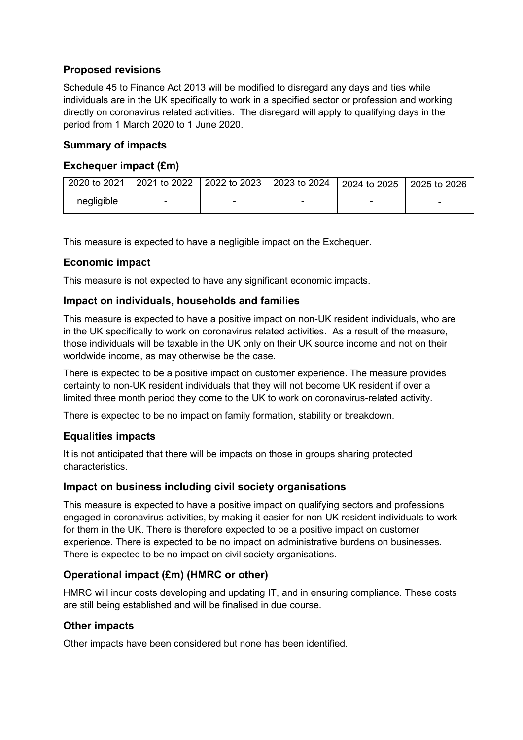# **Proposed revisions**

Schedule 45 to Finance Act 2013 will be modified to disregard any days and ties while individuals are in the UK specifically to work in a specified sector or profession and working directly on coronavirus related activities. The disregard will apply to qualifying days in the period from 1 March 2020 to 1 June 2020.

## **Summary of impacts**

#### **Exchequer impact (£m)**

| 2020 to 2021 | 2021 to 2022 2022 to 2023 2023 to 2024 2024 to 2025 |  | 2025 to 2026 |
|--------------|-----------------------------------------------------|--|--------------|
| negligible   |                                                     |  |              |

This measure is expected to have a negligible impact on the Exchequer.

#### **Economic impact**

This measure is not expected to have any significant economic impacts.

#### **Impact on individuals, households and families**

This measure is expected to have a positive impact on non-UK resident individuals, who are in the UK specifically to work on coronavirus related activities. As a result of the measure, those individuals will be taxable in the UK only on their UK source income and not on their worldwide income, as may otherwise be the case.

There is expected to be a positive impact on customer experience. The measure provides certainty to non-UK resident individuals that they will not become UK resident if over a limited three month period they come to the UK to work on coronavirus-related activity.

There is expected to be no impact on family formation, stability or breakdown.

# **Equalities impacts**

It is not anticipated that there will be impacts on those in groups sharing protected characteristics.

#### **Impact on business including civil society organisations**

This measure is expected to have a positive impact on qualifying sectors and professions engaged in coronavirus activities, by making it easier for non-UK resident individuals to work for them in the UK. There is therefore expected to be a positive impact on customer experience. There is expected to be no impact on administrative burdens on businesses. There is expected to be no impact on civil society organisations.

# **Operational impact (£m) (HMRC or other)**

HMRC will incur costs developing and updating IT, and in ensuring compliance. These costs are still being established and will be finalised in due course.

#### **Other impacts**

Other impacts have been considered but none has been identified.